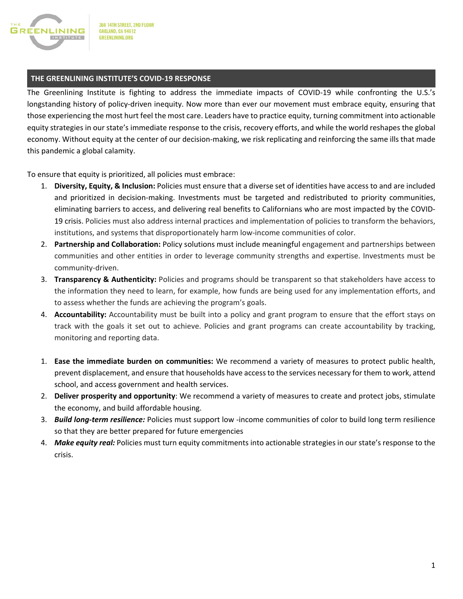

# **THE GREENLINING INSTITUTE'S COVID-19 RESPONSE**

The Greenlining Institute is fighting to address the immediate impacts of COVID-19 while confronting the U.S.'s longstanding history of policy-driven inequity. Now more than ever our movement must embrace equity, ensuring that those experiencing the most hurt feel the most care. Leaders have to practice equity, turning commitment into actionable equity strategies in our state's immediate response to the crisis, recovery efforts, and while the world reshapes the global economy. Without equity at the center of our decision-making, we risk replicating and reinforcing the same ills that made this pandemic a global calamity.

To ensure that equity is prioritized, all policies must embrace:

- 1. **Diversity, Equity, & Inclusion:** Policies must ensure that a diverse set of identities have access to and are included and prioritized in decision-making. Investments must be targeted and redistributed to priority communities, eliminating barriers to access, and delivering real benefits to Californians who are most impacted by the COVID-19 crisis. Policies must also address internal practices and implementation of policies to transform the behaviors, institutions, and systems that disproportionately harm low-income communities of color.
- 2. **Partnership and Collaboration:** Policy solutions must include meaningful engagement and partnerships between communities and other entities in order to leverage community strengths and expertise. Investments must be community-driven.
- 3. **Transparency & Authenticity:** Policies and programs should be transparent so that stakeholders have access to the information they need to learn, for example, how funds are being used for any implementation efforts, and to assess whether the funds are achieving the program's goals.
- 4. **Accountability:** Accountability must be built into a policy and grant program to ensure that the effort stays on track with the goals it set out to achieve. Policies and grant programs can create accountability by tracking, monitoring and reporting data.
- 1. **Ease the immediate burden on communities:** We recommend a variety of measures to protect public health, prevent displacement, and ensure that households have access to the services necessary for them to work, attend school, and access government and health services.
- 2. **Deliver prosperity and opportunity**: We recommend a variety of measures to create and protect jobs, stimulate the economy, and build affordable housing.
- 3. *Build long-term resilience:* Policies must support low -income communities of color to build long term resilience so that they are better prepared for future emergencies
- 4. *Make equity real:* Policies must turn equity commitments into actionable strategies in our state's response to the crisis.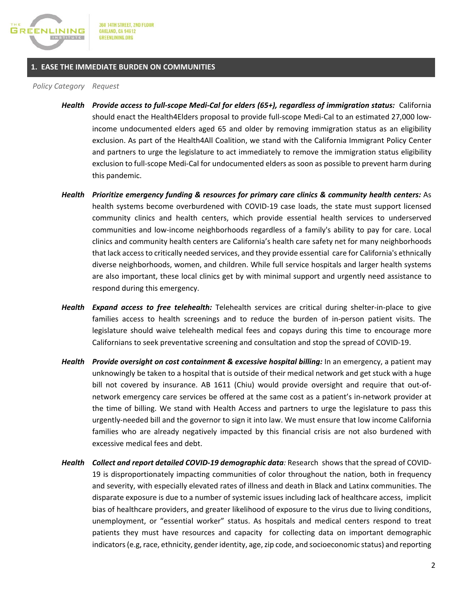

### **1. EASE THE IMMEDIATE BURDEN ON COMMUNITIES**

*Policy Category Request*

- *Health Provide access to full-scope Medi-Cal for elders (65+), regardless of immigration status:* California should enact the Health4Elders proposal to provide full-scope Medi-Cal to an estimated 27,000 lowincome undocumented elders aged 65 and older by removing immigration status as an eligibility exclusion. As part of the Health4All Coalition, we stand with the California Immigrant Policy Center and partners to urge the legislature to act immediately to remove the immigration status eligibility exclusion to full-scope Medi-Cal for undocumented elders as soon as possible to prevent harm during this pandemic.
- *Health Prioritize emergency funding & resources for primary care clinics & community health centers:* As health systems become overburdened with COVID-19 case loads, the state must support licensed community clinics and health centers, which provide essential health services to underserved communities and low-income neighborhoods regardless of a family's ability to pay for care. Local clinics and community health centers are California's health care safety net for many neighborhoods that lack access to critically needed services, and they provide essential care for California's ethnically diverse neighborhoods, women, and children. While full service hospitals and larger health systems are also important, these local clinics get by with minimal support and urgently need assistance to respond during this emergency.
- *Health Expand access to free telehealth:* Telehealth services are critical during shelter-in-place to give families access to health screenings and to reduce the burden of in-person patient visits. The legislature should waive telehealth medical fees and copays during this time to encourage more Californians to seek preventative screening and consultation and stop the spread of COVID-19.
- *Health Provide oversight on cost containment & excessive hospital billing:* In an emergency, a patient may unknowingly be taken to a hospital that is outside of their medical network and get stuck with a huge bill not covered by insurance. AB 1611 (Chiu) would provide oversight and require that out-ofnetwork emergency care services be offered at the same cost as a patient's in-network provider at the time of billing. We stand with Health Access and partners to urge the legislature to pass this urgently-needed bill and the governor to sign it into law. We must ensure that low income California families who are already negatively impacted by this financial crisis are not also burdened with excessive medical fees and debt.
- *Health Collect and report detailed COVID-19 demographic data:* Research shows that the spread of COVID-19 is disproportionately impacting communities of color throughout the nation, both in frequency and severity, with especially elevated rates of illness and death in Black and Latinx communities. The disparate exposure is due to a number of systemic issues including lack of healthcare access, implicit bias of healthcare providers, and greater likelihood of exposure to the virus due to living conditions, unemployment, or "essential worker" status. As hospitals and medical centers respond to treat patients they must have resources and capacity for collecting data on important demographic indicators (e.g, race, ethnicity, gender identity, age, zip code, and socioeconomic status) and reporting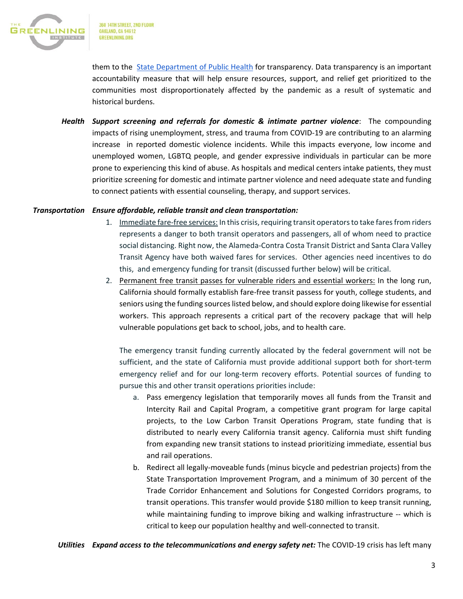

them to the [State Department of Public Health](https://www.cdph.ca.gov/Programs/CID/DCDC/Pages/Immunization/ncov2019.aspx) for transparency. Data transparency is an important accountability measure that will help ensure resources, support, and relief get prioritized to the communities most disproportionately affected by the pandemic as a result of systematic and historical burdens.

*Health Support screening and referrals for domestic & intimate partner violence*: The compounding impacts of rising unemployment, stress, and trauma from COVID-19 are contributing to an alarming increase in reported domestic violence incidents. While this impacts everyone, low income and unemployed women, LGBTQ people, and gender expressive individuals in particular can be more prone to experiencing this kind of abuse. As hospitals and medical centers intake patients, they must prioritize screening for domestic and intimate partner violence and need adequate state and funding to connect patients with essential counseling, therapy, and support services.

## *Transportation Ensure affordable, reliable transit and clean transportation:*

- 1. Immediate fare-free services: In this crisis, requiring transit operators to take fares from riders represents a danger to both transit operators and passengers, all of whom need to practice social distancing. Right now, the Alameda-Contra Costa Transit District and Santa Clara Valley Transit Agency have both waived fares for services. Other agencies need incentives to do this, and emergency funding for transit (discussed further below) will be critical.
- 2. Permanent free transit passes for vulnerable riders and essential workers: In the long run, California should formally establish fare-free transit passess for youth, college students, and seniors using the funding sources listed below, and should explore doing likewise for essential workers. This approach represents a critical part of the recovery package that will help vulnerable populations get back to school, jobs, and to health care.

The emergency transit funding currently allocated by the federal government will not be sufficient, and the state of California must provide additional support both for short-term emergency relief and for our long-term recovery efforts. Potential sources of funding to pursue this and other transit operations priorities include:

- a. Pass emergency legislation that temporarily moves all funds from the Transit and Intercity Rail and Capital Program, a competitive grant program for large capital projects, to the Low Carbon Transit Operations Program, state funding that is distributed to nearly every California transit agency. California must shift funding from expanding new transit stations to instead prioritizing immediate, essential bus and rail operations.
- b. Redirect all legally-moveable funds (minus bicycle and pedestrian projects) from the State Transportation Improvement Program, and a minimum of 30 percent of the Trade Corridor Enhancement and Solutions for Congested Corridors programs, to transit operations. This transfer would provide \$180 million to keep transit running, while maintaining funding to improve biking and walking infrastructure -- which is critical to keep our population healthy and well-connected to transit.

*Utilities Expand access to the telecommunications and energy safety net:* The COVID-19 crisis has left many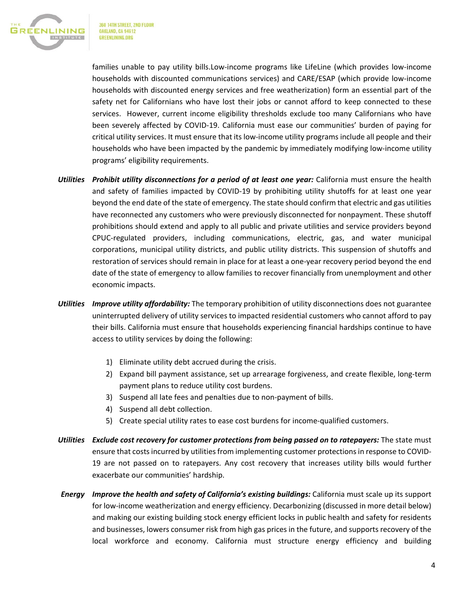

families unable to pay utility bills.Low-income programs like LifeLine (which provides low-income households with discounted communications services) and CARE/ESAP (which provide low-income households with discounted energy services and free weatherization) form an essential part of the safety net for Californians who have lost their jobs or cannot afford to keep connected to these services. However, current income eligibility thresholds exclude too many Californians who have been severely affected by COVID-19. California must ease our communities' burden of paying for critical utility services. It must ensure that its low-income utility programs include all people and their households who have been impacted by the pandemic by immediately modifying low-income utility programs' eligibility requirements.

- *Utilities Prohibit utility disconnections for a period of at least one year:* California must ensure the health and safety of families impacted by COVID-19 by prohibiting utility shutoffs for at least one year beyond the end date of the state of emergency. The state should confirm that electric and gas utilities have reconnected any customers who were previously disconnected for nonpayment. These shutoff prohibitions should extend and apply to all public and private utilities and service providers beyond CPUC-regulated providers, including communications, electric, gas, and water municipal corporations, municipal utility districts, and public utility districts. This suspension of shutoffs and restoration of services should remain in place for at least a one-year recovery period beyond the end date of the state of emergency to allow families to recover financially from unemployment and other economic impacts.
- *Utilities Improve utility affordability:* The temporary prohibition of utility disconnections does not guarantee uninterrupted delivery of utility services to impacted residential customers who cannot afford to pay their bills. California must ensure that households experiencing financial hardships continue to have access to utility services by doing the following:
	- 1) Eliminate utility debt accrued during the crisis.
	- 2) Expand bill payment assistance, set up arrearage forgiveness, and create flexible, long-term payment plans to reduce utility cost burdens.
	- 3) Suspend all late fees and penalties due to non-payment of bills.
	- 4) Suspend all debt collection.
	- 5) Create special utility rates to ease cost burdens for income-qualified customers.
- *Utilities Exclude cost recovery for customer protections from being passed on to ratepayers:* The state must ensure that costs incurred by utilities from implementing customer protections in response to COVID-19 are not passed on to ratepayers. Any cost recovery that increases utility bills would further exacerbate our communities' hardship.
- *Energy Improve the health and safety of California's existing buildings:* California must scale up its support for low-income weatherization and energy efficiency. Decarbonizing (discussed in more detail below) and making our existing building stock energy efficient locks in public health and safety for residents and businesses, lowers consumer risk from high gas prices in the future, and supports recovery of the local workforce and economy. California must structure energy efficiency and building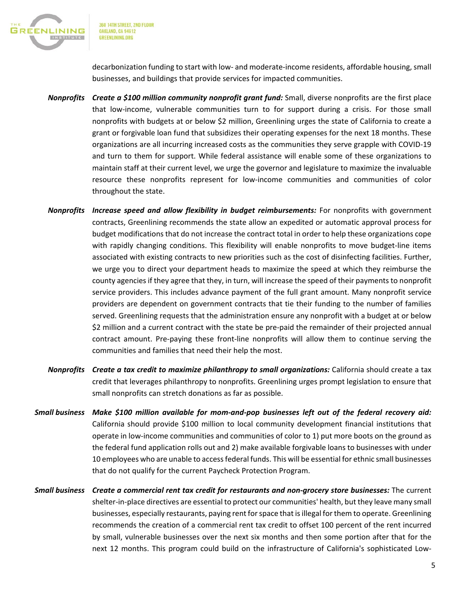

360 14TH STREET, 2ND FLOOR **OAKLAND, CA 94612 GREENLINING.ORG** 

decarbonization funding to start with low- and moderate-income residents, affordable housing, small businesses, and buildings that provide services for impacted communities.

- *Nonprofits Create a \$100 million community nonprofit grant fund:* Small, diverse nonprofits are the first place that low-income, vulnerable communities turn to for support during a crisis. For those small nonprofits with budgets at or below \$2 million, Greenlining urges the state of California to create a grant or forgivable loan fund that subsidizes their operating expenses for the next 18 months. These organizations are all incurring increased costs as the communities they serve grapple with COVID-19 and turn to them for support. While federal assistance will enable some of these organizations to maintain staff at their current level, we urge the governor and legislature to maximize the invaluable resource these nonprofits represent for low-income communities and communities of color throughout the state.
- *Nonprofits Increase speed and allow flexibility in budget reimbursements:* For nonprofits with government contracts, Greenlining recommends the state allow an expedited or automatic approval process for budget modifications that do not increase the contract total in order to help these organizations cope with rapidly changing conditions. This flexibility will enable nonprofits to move budget-line items associated with existing contracts to new priorities such as the cost of disinfecting facilities. Further, we urge you to direct your department heads to maximize the speed at which they reimburse the county agencies if they agree that they, in turn, will increase the speed of their payments to nonprofit service providers. This includes advance payment of the full grant amount. Many nonprofit service providers are dependent on government contracts that tie their funding to the number of families served. Greenlining requests that the administration ensure any nonprofit with a budget at or below \$2 million and a current contract with the state be pre-paid the remainder of their projected annual contract amount. Pre-paying these front-line nonprofits will allow them to continue serving the communities and families that need their help the most.
- *Nonprofits Create a tax credit to maximize philanthropy to small organizations:* California should create a tax credit that leverages philanthropy to nonprofits. Greenlining urges prompt legislation to ensure that small nonprofits can stretch donations as far as possible.
- *Small business Make \$100 million available for mom-and-pop businesses left out of the federal recovery aid:* California should provide \$100 million to local community development financial institutions that operate in low-income communities and communities of color to 1) put more boots on the ground as the federal fund application rolls out and 2) make available forgivable loans to businesses with under 10 employees who are unable to access federal funds. This will be essential for ethnic small businesses that do not qualify for the current Paycheck Protection Program.
- *Small business Create a commercial rent tax credit for restaurants and non-grocery store businesses:* The current shelter-in-place directives are essential to protect our communities' health, but they leave many small businesses, especially restaurants, paying rent for space that is illegal for them to operate. Greenlining recommends the creation of a commercial rent tax credit to offset 100 percent of the rent incurred by small, vulnerable businesses over the next six months and then some portion after that for the next 12 months. This program could build on the infrastructure of California's sophisticated Low-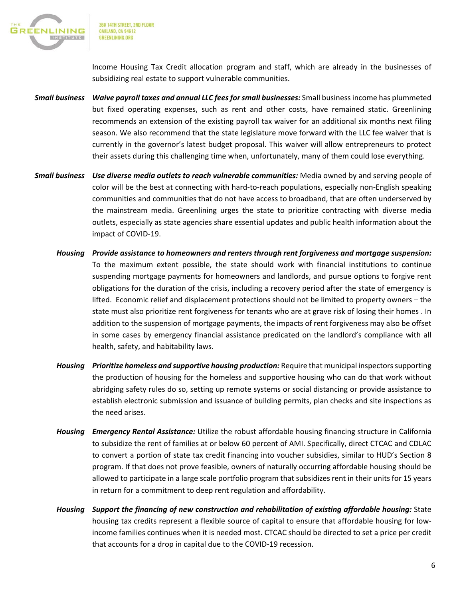

360 14TH STREET, 2ND FLOOR **OAKLAND, CA 94612 GREENLINING ORG** 

Income Housing Tax Credit allocation program and staff, which are already in the businesses of subsidizing real estate to support vulnerable communities.

- *Small business Waive payroll taxes and annual LLC fees for small businesses:* Small business income has plummeted but fixed operating expenses, such as rent and other costs, have remained static. Greenlining recommends an extension of the existing payroll tax waiver for an additional six months next filing season. We also recommend that the state legislature move forward with the LLC fee waiver that is currently in the governor's latest budget proposal. This waiver will allow entrepreneurs to protect their assets during this challenging time when, unfortunately, many of them could lose everything.
- *Small business Use diverse media outlets to reach vulnerable communities:* Media owned by and serving people of color will be the best at connecting with hard-to-reach populations, especially non-English speaking communities and communities that do not have access to broadband, that are often underserved by the mainstream media. Greenlining urges the state to prioritize contracting with diverse media outlets, especially as state agencies share essential updates and public health information about the impact of COVID-19.
	- *Housing Provide assistance to homeowners and renters through rent forgiveness and mortgage suspension:*  To the maximum extent possible, the state should work with financial institutions to continue suspending mortgage payments for homeowners and landlords, and pursue options to forgive rent obligations for the duration of the crisis, including a recovery period after the state of emergency is lifted. Economic relief and displacement protections should not be limited to property owners – the state must also prioritize rent forgiveness for tenants who are at grave risk of losing their homes . In addition to the suspension of mortgage payments, the impacts of rent forgiveness may also be offset in some cases by emergency financial assistance predicated on the landlord's compliance with all health, safety, and habitability laws.
	- *Housing Prioritize homeless and supportive housing production:* Require that municipal inspectors supporting the production of housing for the homeless and supportive housing who can do that work without abridging safety rules do so, setting up remote systems or social distancing or provide assistance to establish electronic submission and issuance of building permits, plan checks and site inspections as the need arises.
	- *Housing Emergency Rental Assistance:* Utilize the robust affordable housing financing structure in California to subsidize the rent of families at or below 60 percent of AMI. Specifically, direct CTCAC and CDLAC to convert a portion of state tax credit financing into voucher subsidies, similar to HUD's Section 8 program. If that does not prove feasible, owners of naturally occurring affordable housing should be allowed to participate in a large scale portfolio program that subsidizes rent in their units for 15 years in return for a commitment to deep rent regulation and affordability.
	- *Housing Support the financing of new construction and rehabilitation of existing affordable housing:* State housing tax credits represent a flexible source of capital to ensure that affordable housing for lowincome families continues when it is needed most. CTCAC should be directed to set a price per credit that accounts for a drop in capital due to the COVID-19 recession.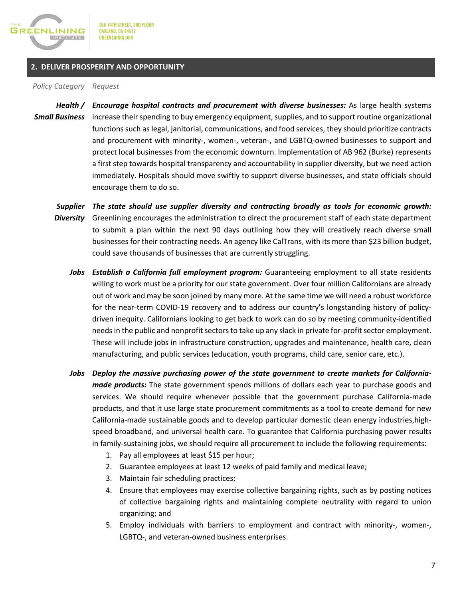

# **2. DELIVER PROSPERITY AND OPPORTUNITY**

*Policy Category Request*

*Health / Small Business* increase their spending to buy emergency equipment, supplies, and to support routine organizational *Encourage hospital contracts and procurement with diverse businesses:* As large health systems functions such as legal, janitorial, communications, and food services, they should prioritize contracts and procurement with minority-, women-, veteran-, and LGBTQ-owned businesses to support and protect local businesses from the economic downturn. Implementation of AB 962 (Burke) represents a first step towards hospital transparency and accountability in supplier diversity, but we need action immediately. Hospitals should move swiftly to support diverse businesses, and state officials should encourage them to do so.

*Supplier The state should use supplier diversity and contracting broadly as tools for economic growth: Diversity* Greenlining encourages the administration to direct the procurement staff of each state department to submit a plan within the next 90 days outlining how they will creatively reach diverse small businesses for their contracting needs. An agency like CalTrans, with its more than \$23 billion budget, could save thousands of businesses that are currently struggling.

- *Jobs Establish a California full employment program:* Guaranteeing employment to all state residents willing to work must be a priority for our state government. Over four million Californians are already out of work and may be soon joined by many more. At the same time we will need a robust workforce for the near-term COVID-19 recovery and to address our country's longstanding history of policydriven inequity. Californians looking to get back to work can do so by meeting community-identified needs in the public and nonprofit sectors to take up any slack in private for-profit sector employment. These will include jobs in infrastructure construction, upgrades and maintenance, health care, clean manufacturing, and public services (education, youth programs, child care, senior care, etc.).
- *Jobs Deploy the massive purchasing power of the state government to create markets for Californiamade products:* The state government spends millions of dollars each year to purchase goods and services. We should require whenever possible that the government purchase California-made products, and that it use large state procurement commitments as a tool to create demand for new California-made sustainable goods and to develop particular domestic clean energy industries,highspeed broadband, and universal health care. To guarantee that California purchasing power results in family-sustaining jobs, we should require all procurement to include the following requirements:
	- 1. Pay all employees at least \$15 per hour;
	- 2. Guarantee employees at least 12 weeks of paid family and medical leave;
	- 3. Maintain fair scheduling practices;
	- 4. Ensure that employees may exercise collective bargaining rights, such as by posting notices of collective bargaining rights and maintaining complete neutrality with regard to union organizing; and
	- 5. Employ individuals with barriers to employment and contract with minority-, women-, LGBTQ-, and veteran-owned business enterprises.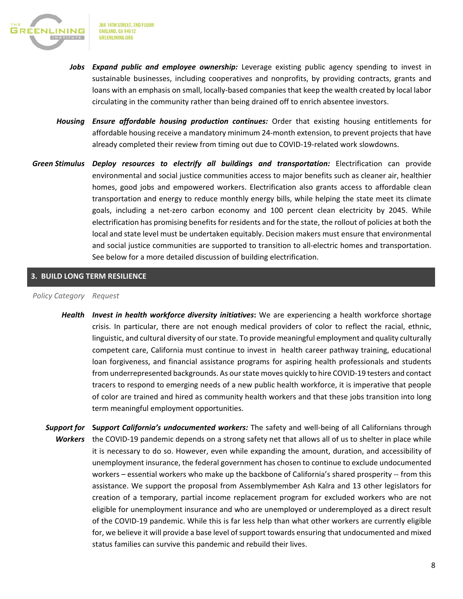

- *Jobs Expand public and employee ownership:* Leverage existing public agency spending to invest in sustainable businesses, including cooperatives and nonprofits, by providing contracts, grants and loans with an emphasis on small, locally-based companies that keep the wealth created by local labor circulating in the community rather than being drained off to enrich absentee investors.
- *Housing Ensure affordable housing production continues:* Order that existing housing entitlements for affordable housing receive a mandatory minimum 24-month extension, to prevent projects that have already completed their review from timing out due to COVID-19-related work slowdowns.
- *Green Stimulus Deploy resources to electrify all buildings and transportation:* Electrification can provide environmental and social justice communities access to major benefits such as cleaner air, healthier homes, good jobs and empowered workers. Electrification also grants access to affordable clean transportation and energy to reduce monthly energy bills, while helping the state meet its climate goals, including a net-zero carbon economy and 100 percent clean electricity by 2045. While electrification has promising benefits for residents and for the state, the rollout of policies at both the local and state level must be undertaken equitably. Decision makers must ensure that environmental and social justice communities are supported to transition to all-electric homes and transportation. See below for a more detailed discussion of building electrification.

# **3. BUILD LONG TERM RESILIENCE**

## *Policy Category Request*

- *Health Invest in health workforce diversity initiatives***:** We are experiencing a health workforce shortage crisis. In particular, there are not enough medical providers of color to reflect the racial, ethnic, linguistic, and cultural diversity of our state. To provide meaningful employment and quality culturally competent care, California must continue to invest in health career pathway training, educational loan forgiveness, and financial assistance programs for aspiring health professionals and students from underrepresented backgrounds. As our state moves quickly to hire COVID-19 testers and contact tracers to respond to emerging needs of a new public health workforce, it is imperative that people of color are trained and hired as community health workers and that these jobs transition into long term meaningful employment opportunities.
- Support for Support California's undocumented workers: The safety and well-being of all Californians through *Workers* the COVID-19 pandemic depends on a strong safety net that allows all of us to shelter in place while it is necessary to do so. However, even while expanding the amount, duration, and accessibility of unemployment insurance, the federal government has chosen to continue to exclude undocumented workers – essential workers who make up the backbone of California's shared prosperity -- from this assistance. We support the proposal from Assemblymember Ash Kalra and 13 other legislators for creation of a temporary, partial income replacement program for excluded workers who are not eligible for unemployment insurance and who are unemployed or underemployed as a direct result of the COVID-19 pandemic. While this is far less help than what other workers are currently eligible for, we believe it will provide a base level of support towards ensuring that undocumented and mixed status families can survive this pandemic and rebuild their lives.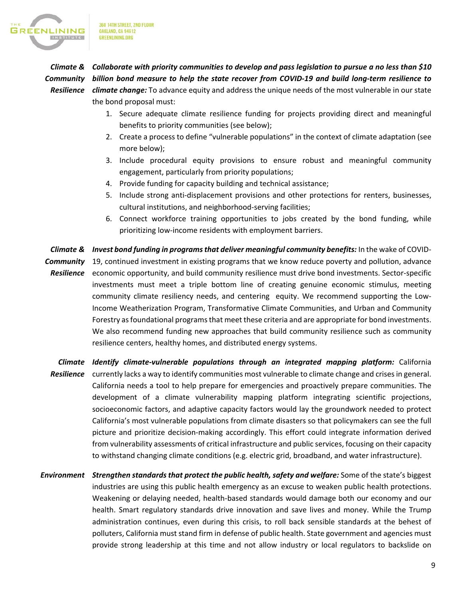

360 14TH STREET, 2ND FLOOR **OAKLAND, CA 94612 GREENLINING.ORG** 

the bond proposal must:

# *Climate & Collaborate with priority communities to develop and pass legislation to pursue a no less than \$10 Community billion bond measure to help the state recover from COVID-19 and build long-term resilience to Resilience climate change:* To advance equity and address the unique needs of the most vulnerable in our state

- 1. Secure adequate climate resilience funding for projects providing direct and meaningful benefits to priority communities (see below);
- 2. Create a process to define "vulnerable populations" in the context of climate adaptation (see more below);
- 3. Include procedural equity provisions to ensure robust and meaningful community engagement, particularly from priority populations;
- 4. Provide funding for capacity building and technical assistance;
- 5. Include strong anti-displacement provisions and other protections for renters, businesses, cultural institutions, and neighborhood-serving facilities;
- 6. Connect workforce training opportunities to jobs created by the bond funding, while prioritizing low-income residents with employment barriers.

*Climate & Invest bond funding in programs that deliver meaningful community benefits:* In the wake of COVID-Community 19, continued investment in existing programs that we know reduce poverty and pollution, advance Resilience economic opportunity, and build community resilience must drive bond investments. Sector-specific investments must meet a triple bottom line of creating genuine economic stimulus, meeting community climate resiliency needs, and centering equity. We recommend supporting the Low-Income Weatherization Program, Transformative Climate Communities, and Urban and Community Forestry as foundational programs that meet these criteria and are appropriate for bond investments. We also recommend funding new approaches that build community resilience such as community resilience centers, healthy homes, and distributed energy systems.

*Climate Identify climate-vulnerable populations through an integrated mapping platform:* California Resilience currently lacks a way to identify communities most vulnerable to climate change and crises in general. California needs a tool to help prepare for emergencies and proactively prepare communities. The development of a climate vulnerability mapping platform integrating scientific projections, socioeconomic factors, and adaptive capacity factors would lay the groundwork needed to protect California's most vulnerable populations from climate disasters so that policymakers can see the full picture and prioritize decision-making accordingly. This effort could integrate information derived from vulnerability assessments of critical infrastructure and public services, focusing on their capacity to withstand changing climate conditions (e.g. electric grid, broadband, and water infrastructure).

*Environment Strengthen standards that protect the public health, safety and welfare:* Some of the state's biggest industries are using this public health emergency as an excuse to weaken public health protections. Weakening or delaying needed, health-based standards would damage both our economy and our health. Smart regulatory standards drive innovation and save lives and money. While the Trump administration continues, even during this crisis, to roll back sensible standards at the behest of polluters, California must stand firm in defense of public health. State government and agencies must provide strong leadership at this time and not allow industry or local regulators to backslide on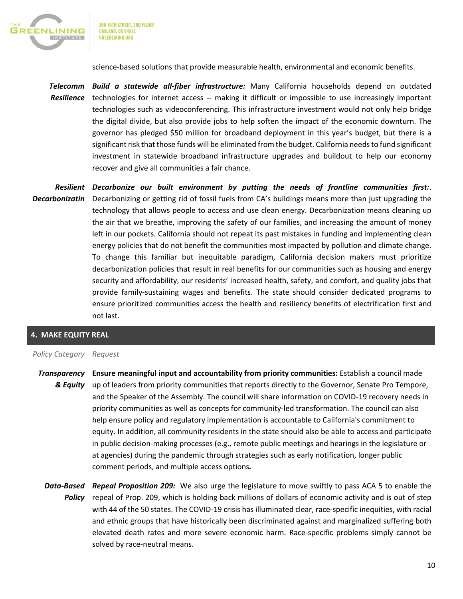

360 14TH STREET, 2ND FLOOR **OAKLAND, CA 94612 GREENLINING.ORG** 

science-based solutions that provide measurable health, environmental and economic benefits.

*Telecomm Build a statewide all-fiber infrastructure:* Many California households depend on outdated *Resilience*  technologies for internet access -- making it difficult or impossible to use increasingly important technologies such as videoconferencing. This infrastructure investment would not only help bridge the digital divide, but also provide jobs to help soften the impact of the economic downturn. The governor has pledged \$50 million for broadband deployment in this year's budget, but there is a significant risk that those funds will be eliminated from the budget. California needs to fund significant investment in statewide broadband infrastructure upgrades and buildout to help our economy recover and give all communities a fair chance.

*Resilient Decarbonize our built environment by putting the needs of frontline communities first:*. Decarbonizatin Decarbonizing or getting rid of fossil fuels from CA's buildings means more than just upgrading the technology that allows people to access and use clean energy. Decarbonization means cleaning up the air that we breathe, improving the safety of our families, and increasing the amount of money left in our pockets. California should not repeat its past mistakes in funding and implementing clean energy policies that do not benefit the communities most impacted by pollution and climate change. To change this familiar but inequitable paradigm, California decision makers must prioritize decarbonization policies that result in real benefits for our communities such as housing and energy security and affordability, our residents' increased health, safety, and comfort, and quality jobs that provide family-sustaining wages and benefits. The state should consider dedicated programs to ensure prioritized communities access the health and resiliency benefits of electrification first and not last.

# **4. MAKE EQUITY REAL**

### *Policy Category Request*

- **Transparency** Ensure meaningful input and accountability from priority communities: Establish a council made *& Equity* up of leaders from priority communities that reports directly to the Governor, Senate Pro Tempore, and the Speaker of the Assembly. The council will share information on COVID-19 recovery needs in priority communities as well as concepts for community-led transformation. The council can also help ensure policy and regulatory implementation is accountable to California's commitment to equity. In addition, all community residents in the state should also be able to access and participate in public decision-making processes (e.g., remote public meetings and hearings in the legislature or at agencies) during the pandemic through strategies such as early notification, longer public comment periods, and multiple access options*.*
	- *Data-Based Repeal Proposition 209:* We also urge the legislature to move swiftly to pass ACA 5 to enable the Policy repeal of Prop. 209, which is holding back millions of dollars of economic activity and is out of step with 44 of the 50 states. The COVID-19 crisis has illuminated clear, race-specific inequities, with racial and ethnic groups that have historically been discriminated against and marginalized suffering both elevated death rates and more severe economic harm. Race-specific problems simply cannot be solved by race-neutral means.